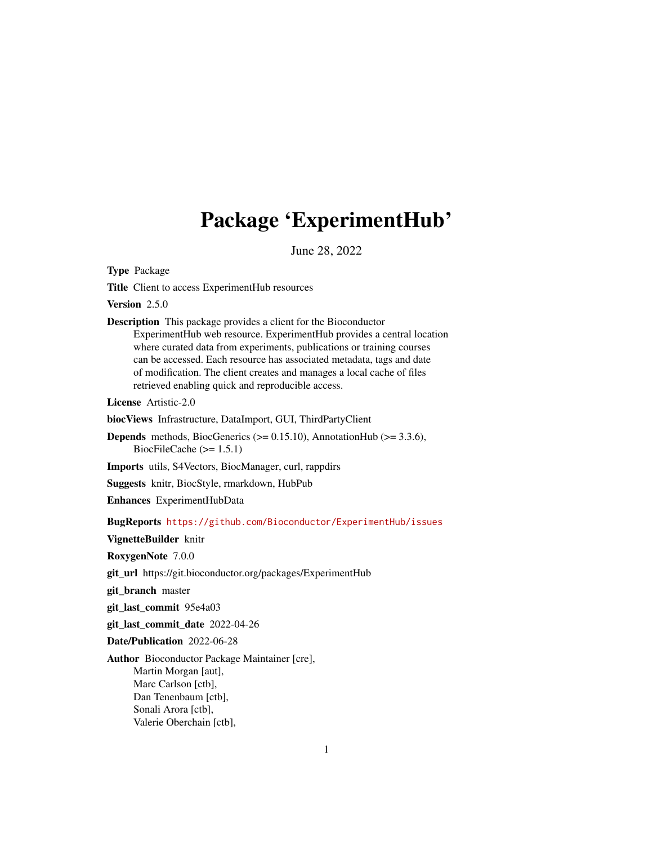## Package 'ExperimentHub'

June 28, 2022

<span id="page-0-0"></span>Type Package

Title Client to access ExperimentHub resources

Version 2.5.0

Description This package provides a client for the Bioconductor ExperimentHub web resource. ExperimentHub provides a central location where curated data from experiments, publications or training courses can be accessed. Each resource has associated metadata, tags and date of modification. The client creates and manages a local cache of files retrieved enabling quick and reproducible access.

License Artistic-2.0

biocViews Infrastructure, DataImport, GUI, ThirdPartyClient

**Depends** methods, BiocGenerics  $(>= 0.15.10)$ , AnnotationHub  $(>= 3.3.6)$ , BiocFileCache  $(>= 1.5.1)$ 

Imports utils, S4Vectors, BiocManager, curl, rappdirs

Suggests knitr, BiocStyle, rmarkdown, HubPub

Enhances ExperimentHubData

BugReports <https://github.com/Bioconductor/ExperimentHub/issues>

VignetteBuilder knitr

RoxygenNote 7.0.0

git\_url https://git.bioconductor.org/packages/ExperimentHub

git\_branch master

git\_last\_commit 95e4a03

git\_last\_commit\_date 2022-04-26

Date/Publication 2022-06-28

Author Bioconductor Package Maintainer [cre], Martin Morgan [aut], Marc Carlson [ctb], Dan Tenenbaum [ctb], Sonali Arora [ctb], Valerie Oberchain [ctb],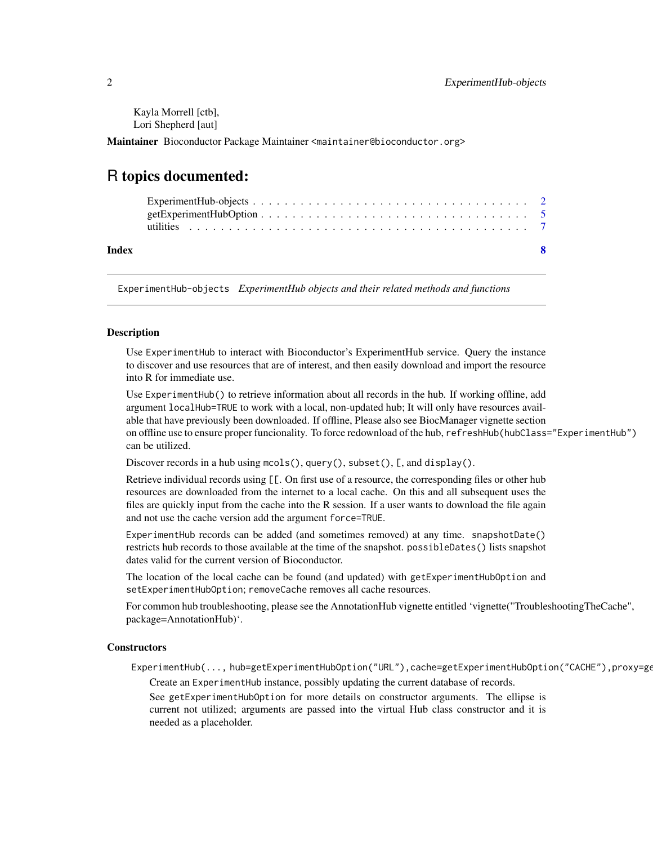<span id="page-1-0"></span>Kayla Morrell [ctb], Lori Shepherd [aut]

Maintainer Bioconductor Package Maintainer <maintainer@bioconductor.org>

### R topics documented:

| Index |  |
|-------|--|

ExperimentHub-objects *ExperimentHub objects and their related methods and functions*

#### Description

Use ExperimentHub to interact with Bioconductor's ExperimentHub service. Query the instance to discover and use resources that are of interest, and then easily download and import the resource into R for immediate use.

Use ExperimentHub() to retrieve information about all records in the hub. If working offline, add argument localHub=TRUE to work with a local, non-updated hub; It will only have resources available that have previously been downloaded. If offline, Please also see BiocManager vignette section on offline use to ensure proper funcionality. To force redownload of the hub, refreshHub(hubClass="ExperimentHub") can be utilized.

Discover records in a hub using mcols(), query(), subset(), [, and display().

Retrieve individual records using [[. On first use of a resource, the corresponding files or other hub resources are downloaded from the internet to a local cache. On this and all subsequent uses the files are quickly input from the cache into the R session. If a user wants to download the file again and not use the cache version add the argument force=TRUE.

ExperimentHub records can be added (and sometimes removed) at any time. snapshotDate() restricts hub records to those available at the time of the snapshot. possibleDates() lists snapshot dates valid for the current version of Bioconductor.

The location of the local cache can be found (and updated) with getExperimentHubOption and setExperimentHubOption; removeCache removes all cache resources.

For common hub troubleshooting, please see the AnnotationHub vignette entitled 'vignette("TroubleshootingTheCache", package=AnnotationHub)'.

#### **Constructors**

ExperimentHub(..., hub=getExperimentHubOption("URL"),cache=getExperimentHubOption("CACHE"),proxy=ge Create an ExperimentHub instance, possibly updating the current database of records.

See getExperimentHubOption for more details on constructor arguments. The ellipse is current not utilized; arguments are passed into the virtual Hub class constructor and it is needed as a placeholder.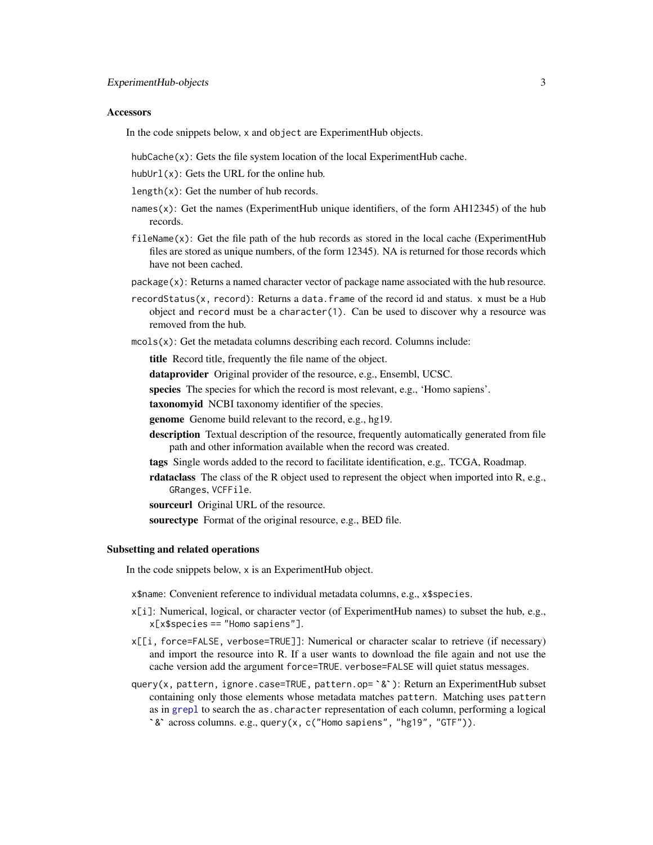#### <span id="page-2-0"></span>**Accessors**

In the code snippets below, x and object are ExperimentHub objects.

hubCache(x): Gets the file system location of the local ExperimentHub cache.

hubUrl $(x)$ : Gets the URL for the online hub.

 $length(x)$ : Get the number of hub records.

- names(x): Get the names (ExperimentHub unique identifiers, of the form AH12345) of the hub records.
- $fileName(x)$ : Get the file path of the hub records as stored in the local cache (ExperimentHub files are stored as unique numbers, of the form 12345). NA is returned for those records which have not been cached.
- package(x): Returns a named character vector of package name associated with the hub resource.
- recordStatus(x, record): Returns a data.frame of the record id and status. x must be a Hub object and record must be a character(1). Can be used to discover why a resource was removed from the hub.
- $mcols(x)$ : Get the metadata columns describing each record. Columns include:

title Record title, frequently the file name of the object.

dataprovider Original provider of the resource, e.g., Ensembl, UCSC.

species The species for which the record is most relevant, e.g., 'Homo sapiens'.

taxonomyid NCBI taxonomy identifier of the species.

**genome** Genome build relevant to the record, e.g., hg19.

- description Textual description of the resource, frequently automatically generated from file path and other information available when the record was created.
- tags Single words added to the record to facilitate identification, e.g,. TCGA, Roadmap.
- rdataclass The class of the R object used to represent the object when imported into R, e.g., GRanges, VCFFile.

sourceurl Original URL of the resource.

sourectype Format of the original resource, e.g., BED file.

#### Subsetting and related operations

In the code snippets below, x is an ExperimentHub object.

x\$name: Convenient reference to individual metadata columns, e.g., x\$species.

- x[i]: Numerical, logical, or character vector (of ExperimentHub names) to subset the hub, e.g., x[x\$species == "Homo sapiens"].
- x[[i, force=FALSE, verbose=TRUE]]: Numerical or character scalar to retrieve (if necessary) and import the resource into R. If a user wants to download the file again and not use the cache version add the argument force=TRUE. verbose=FALSE will quiet status messages. x[[i, force=FALSE, verbose=TRUE]]: Numerical or character scalar to retrieve (if necessary) and import the resource into R. If a user wants to download the file again and not use the cache version add the argument force=TR
- containing only those elements whose metadata matches pattern. Matching uses pattern as in [grepl](#page-0-0) to search the as.character representation of each column, performing a logical query(x, pattern, ignore.case=TRUE, pattern.op= $x$ ;): Return an ExperimentHub subset  $y(x,$  pattern, ignore.case=TRUE, pattern.op= `&`): Return an Experiontaining only those elements whose metadata matches pattern. Matchins in grep1 to search the as.character representation of each column, perf&` across co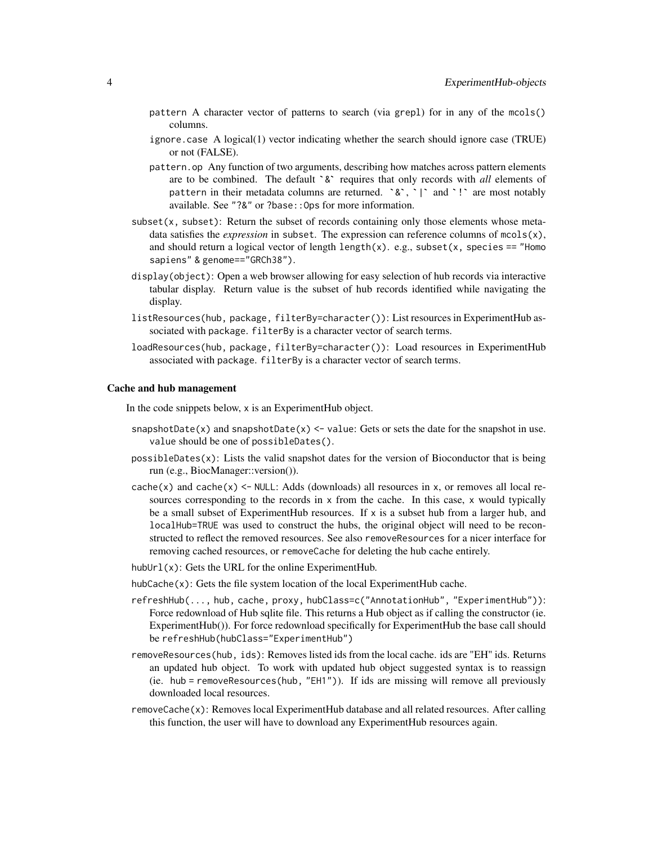- pattern A character vector of patterns to search (via grepl) for in any of the mcols() columns.
- or not (FALSE).
- ignore.case A logical(1) vector indicating whether the search should ignore case (TRUE) or not (FALSE).<br>pattern.op Any function of two arguments, describing how matches across pattern elements are to be combined. The defau pattern.op Any function of two arguments, describing how matches across pattern elements are to be combined. The default  $\delta$  requires that only records with *all* elements of pattern in their metadata columns are returned.  $\delta$ ,  $\gamma$  and  $\gamma$  are most notably available. See "?&" or ?base::Ops for more information.
- $subset(x, subset)$ : Return the subset of records containing only those elements whose metadata satisfies the *expression* in subset. The expression can reference columns of  $m \text{cols}(x)$ , and should return a logical vector of length length $(x)$ . e.g., subset $(x,$  species == "Homo sapiens" & genome=="GRCh38").
- display(object): Open a web browser allowing for easy selection of hub records via interactive tabular display. Return value is the subset of hub records identified while navigating the display.
- listResources(hub, package, filterBy=character()): List resources in ExperimentHub associated with package. filterBy is a character vector of search terms.
- loadResources(hub, package, filterBy=character()): Load resources in ExperimentHub associated with package. filterBy is a character vector of search terms.

#### Cache and hub management

In the code snippets below, x is an ExperimentHub object.

- snapshotDate(x) and snapshotDate(x)  $\le$  value: Gets or sets the date for the snapshot in use. value should be one of possibleDates().
- possibleDates(x): Lists the valid snapshot dates for the version of Bioconductor that is being run (e.g., BiocManager::version()).
- $cache(x)$  and  $cache(x) \leq NULL$ : Adds (downloads) all resources in x, or removes all local resources corresponding to the records in  $x$  from the cache. In this case,  $x$  would typically be a small subset of ExperimentHub resources. If  $x$  is a subset hub from a larger hub, and localHub=TRUE was used to construct the hubs, the original object will need to be reconstructed to reflect the removed resources. See also removeResources for a nicer interface for removing cached resources, or removeCache for deleting the hub cache entirely.
- hubUrl $(x)$ : Gets the URL for the online ExperimentHub.
- hubCache(x): Gets the file system location of the local ExperimentHub cache.
- refreshHub(..., hub, cache, proxy, hubClass=c("AnnotationHub", "ExperimentHub")): Force redownload of Hub sqlite file. This returns a Hub object as if calling the constructor (ie. ExperimentHub()). For force redownload specifically for ExperimentHub the base call should be refreshHub(hubClass="ExperimentHub")
- removeResources(hub, ids): Removes listed ids from the local cache. ids are "EH" ids. Returns an updated hub object. To work with updated hub object suggested syntax is to reassign (ie. hub = removeResources(hub, "EH1")). If ids are missing will remove all previously downloaded local resources.
- removeCache(x): Removes local ExperimentHub database and all related resources. After calling this function, the user will have to download any ExperimentHub resources again.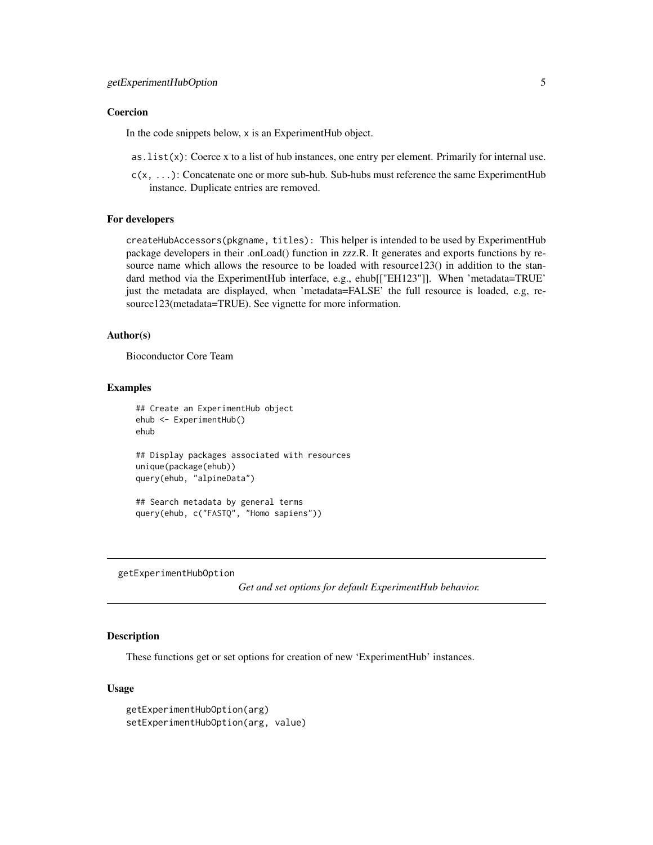#### <span id="page-4-0"></span>Coercion

In the code snippets below, x is an ExperimentHub object.

- as.list(x): Coerce x to a list of hub instances, one entry per element. Primarily for internal use.
- c(x, ...): Concatenate one or more sub-hub. Sub-hubs must reference the same ExperimentHub instance. Duplicate entries are removed.

#### For developers

createHubAccessors(pkgname, titles): This helper is intended to be used by ExperimentHub package developers in their .onLoad() function in zzz.R. It generates and exports functions by resource name which allows the resource to be loaded with resource123() in addition to the standard method via the ExperimentHub interface, e.g., ehub[["EH123"]]. When 'metadata=TRUE' just the metadata are displayed, when 'metadata=FALSE' the full resource is loaded, e.g, resource123(metadata=TRUE). See vignette for more information.

#### Author(s)

Bioconductor Core Team

#### Examples

```
## Create an ExperimentHub object
ehub <- ExperimentHub()
ehub
## Display packages associated with resources
unique(package(ehub))
query(ehub, "alpineData")
## Search metadata by general terms
```
query(ehub, c("FASTQ", "Homo sapiens"))

getExperimentHubOption

*Get and set options for default ExperimentHub behavior.*

#### **Description**

These functions get or set options for creation of new 'ExperimentHub' instances.

#### Usage

```
getExperimentHubOption(arg)
setExperimentHubOption(arg, value)
```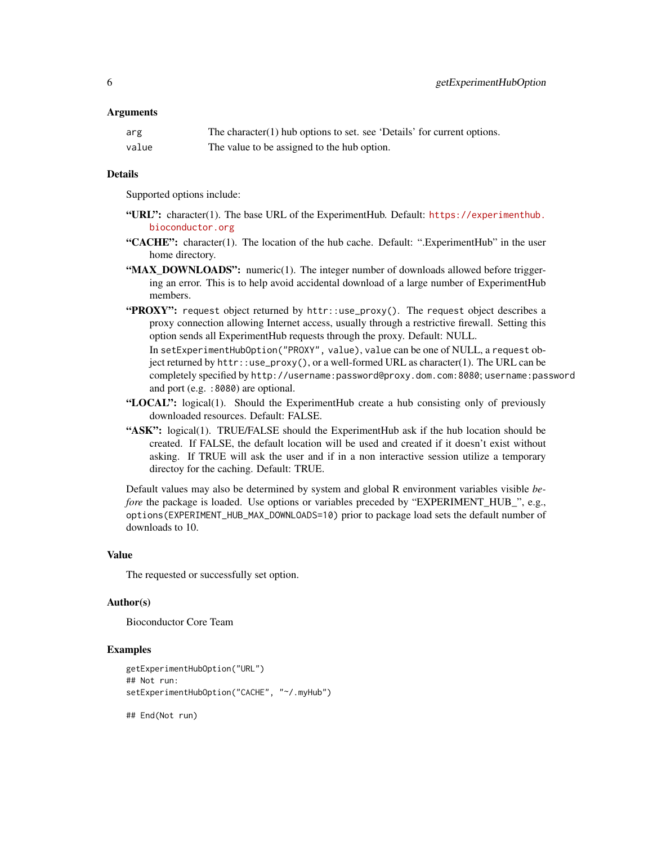#### **Arguments**

| arg   | The character(1) hub options to set. see 'Details' for current options. |
|-------|-------------------------------------------------------------------------|
| value | The value to be assigned to the hub option.                             |

#### Details

Supported options include:

- "URL": character(1). The base URL of the ExperimentHub. Default: [https://experimenthub.](https://experimenthub.bioconductor.org) [bioconductor.org](https://experimenthub.bioconductor.org)
- "CACHE": character(1). The location of the hub cache. Default: ".ExperimentHub" in the user home directory.
- "MAX\_DOWNLOADS": numeric(1). The integer number of downloads allowed before triggering an error. This is to help avoid accidental download of a large number of ExperimentHub members.
- "PROXY": request object returned by httr::use\_proxy(). The request object describes a proxy connection allowing Internet access, usually through a restrictive firewall. Setting this option sends all ExperimentHub requests through the proxy. Default: NULL.

In setExperimentHubOption("PROXY", value), value can be one of NULL, a request object returned by httr::use\_proxy(), or a well-formed URL as character(1). The URL can be completely specified by http://username:password@proxy.dom.com:8080; username:password and port (e.g. :8080) are optional.

- "LOCAL": logical(1). Should the ExperimentHub create a hub consisting only of previously downloaded resources. Default: FALSE.
- "ASK": logical(1). TRUE/FALSE should the ExperimentHub ask if the hub location should be created. If FALSE, the default location will be used and created if it doesn't exist without asking. If TRUE will ask the user and if in a non interactive session utilize a temporary directoy for the caching. Default: TRUE.

Default values may also be determined by system and global R environment variables visible *before* the package is loaded. Use options or variables preceded by "EXPERIMENT\_HUB\_", e.g., options(EXPERIMENT\_HUB\_MAX\_DOWNLOADS=10) prior to package load sets the default number of downloads to 10.

#### Value

The requested or successfully set option.

#### Author(s)

Bioconductor Core Team

#### Examples

```
getExperimentHubOption("URL")
## Not run:
setExperimentHubOption("CACHE", "~/.myHub")
```
## End(Not run)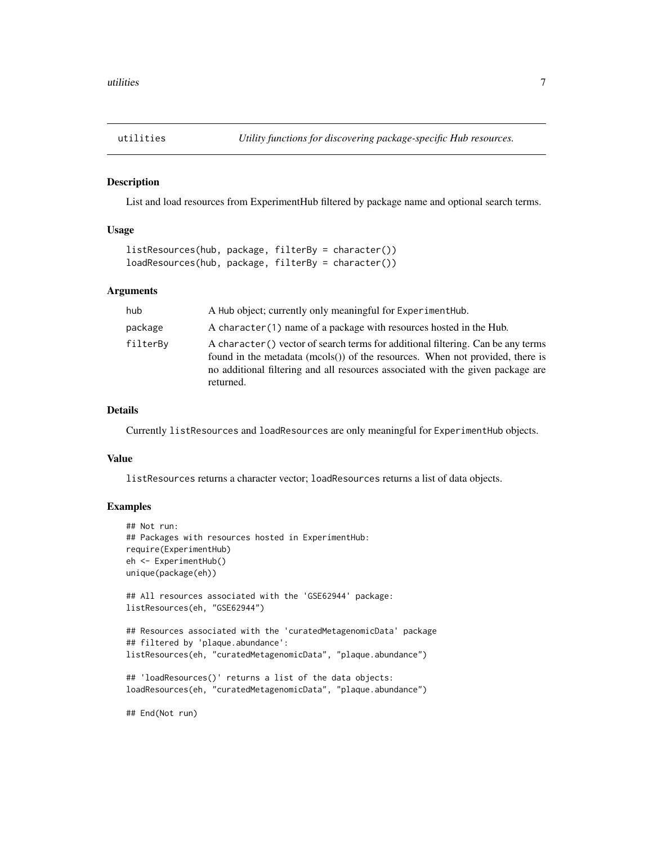<span id="page-6-0"></span>

#### Description

List and load resources from ExperimentHub filtered by package name and optional search terms.

#### Usage

```
listResources(hub, package, filterBy = character())
loadResources(hub, package, filterBy = character())
```
#### Arguments

| hub      | A Hub object; currently only meaningful for ExperimentHub.                                                                                                                                                                                                       |
|----------|------------------------------------------------------------------------------------------------------------------------------------------------------------------------------------------------------------------------------------------------------------------|
| package  | A character (1) name of a package with resources hosted in the Hub.                                                                                                                                                                                              |
| filterBy | A character() vector of search terms for additional filtering. Can be any terms<br>found in the metadata (mcols()) of the resources. When not provided, there is<br>no additional filtering and all resources associated with the given package are<br>returned. |

#### Details

Currently listResources and loadResources are only meaningful for ExperimentHub objects.

#### Value

listResources returns a character vector; loadResources returns a list of data objects.

#### Examples

```
## Not run:
## Packages with resources hosted in ExperimentHub:
require(ExperimentHub)
eh <- ExperimentHub()
unique(package(eh))
## All resources associated with the 'GSE62944' package:
listResources(eh, "GSE62944")
## Resources associated with the 'curatedMetagenomicData' package
## filtered by 'plaque.abundance':
listResources(eh, "curatedMetagenomicData", "plaque.abundance")
## 'loadResources()' returns a list of the data objects:
loadResources(eh, "curatedMetagenomicData", "plaque.abundance")
```
## End(Not run)